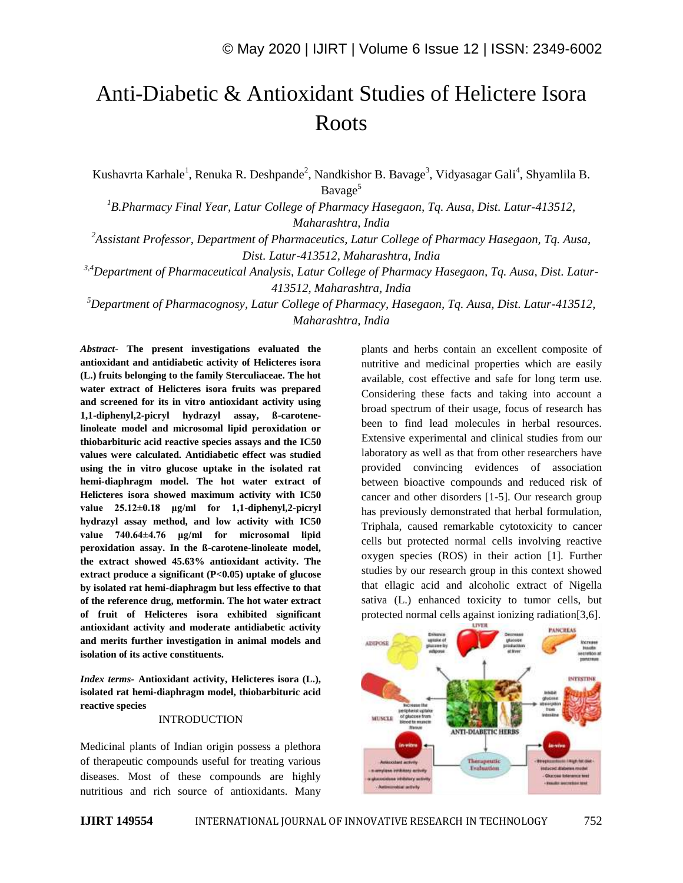# Anti-Diabetic & Antioxidant Studies of Helictere Isora Roots

Kushavrta Karhale<sup>1</sup>, Renuka R. Deshpande<sup>2</sup>, Nandkishor B. Bavage<sup>3</sup>, Vidyasagar Gali<sup>4</sup>, Shyamlila B. Bavage<sup>5</sup>

*<sup>1</sup>B.Pharmacy Final Year, Latur College of Pharmacy Hasegaon, Tq. Ausa, Dist. Latur-413512, Maharashtra, India*

*<sup>2</sup>Assistant Professor, Department of Pharmaceutics, Latur College of Pharmacy Hasegaon, Tq. Ausa, Dist. Latur-413512, Maharashtra, India*

*3,4Department of Pharmaceutical Analysis, Latur College of Pharmacy Hasegaon, Tq. Ausa, Dist. Latur-413512, Maharashtra, India*

*<sup>5</sup>Department of Pharmacognosy, Latur College of Pharmacy, Hasegaon, Tq. Ausa, Dist. Latur-413512, Maharashtra, India*

*Abstract*- **The present investigations evaluated the antioxidant and antidiabetic activity of Helicteres isora (L.) fruits belonging to the family Sterculiaceae. The hot water extract of Helicteres isora fruits was prepared and screened for its in vitro antioxidant activity using 1,1-diphenyl,2-picryl hydrazyl assay, ß-carotenelinoleate model and microsomal lipid peroxidation or thiobarbituric acid reactive species assays and the IC50 values were calculated. Antidiabetic effect was studied using the in vitro glucose uptake in the isolated rat hemi-diaphragm model. The hot water extract of Helicteres isora showed maximum activity with IC50 value 25.12±0.18 μg/ml for 1,1-diphenyl,2-picryl hydrazyl assay method, and low activity with IC50 value 740.64±4.76 μg/ml for microsomal lipid peroxidation assay. In the ß-carotene-linoleate model, the extract showed 45.63% antioxidant activity. The extract produce a significant (P<0.05) uptake of glucose by isolated rat hemi-diaphragm but less effective to that of the reference drug, metformin. The hot water extract of fruit of Helicteres isora exhibited significant antioxidant activity and moderate antidiabetic activity and merits further investigation in animal models and isolation of its active constituents.**

*Index terms***- Antioxidant activity, Helicteres isora (L.), isolated rat hemi-diaphragm model, thiobarbituric acid reactive species**

#### INTRODUCTION

Medicinal plants of Indian origin possess a plethora of therapeutic compounds useful for treating various diseases. Most of these compounds are highly nutritious and rich source of antioxidants. Many

plants and herbs contain an excellent composite of nutritive and medicinal properties which are easily available, cost effective and safe for long term use. Considering these facts and taking into account a broad spectrum of their usage, focus of research has been to find lead molecules in herbal resources. Extensive experimental and clinical studies from our laboratory as well as that from other researchers have provided convincing evidences of association between bioactive compounds and reduced risk of cancer and other disorders [1-5]. Our research group has previously demonstrated that herbal formulation, Triphala, caused remarkable cytotoxicity to cancer cells but protected normal cells involving reactive oxygen species (ROS) in their action [1]. Further studies by our research group in this context showed that ellagic acid and alcoholic extract of Nigella sativa (L.) enhanced toxicity to tumor cells, but protected normal cells against ionizing radiation[3,6].

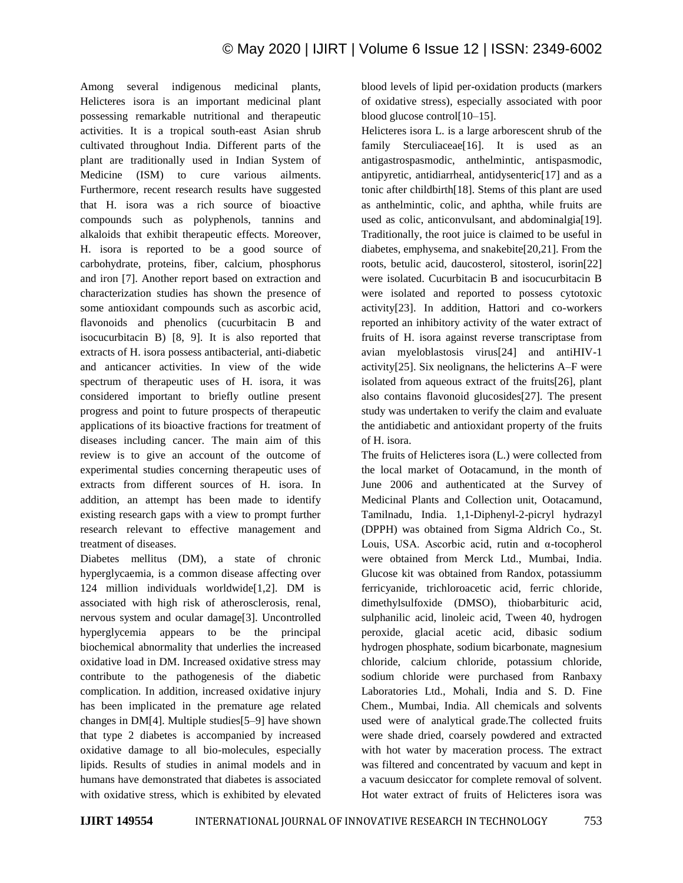Among several indigenous medicinal plants, Helicteres isora is an important medicinal plant possessing remarkable nutritional and therapeutic activities. It is a tropical south-east Asian shrub cultivated throughout India. Different parts of the plant are traditionally used in Indian System of Medicine (ISM) to cure various ailments. Furthermore, recent research results have suggested that H. isora was a rich source of bioactive compounds such as polyphenols, tannins and alkaloids that exhibit therapeutic effects. Moreover, H. isora is reported to be a good source of carbohydrate, proteins, fiber, calcium, phosphorus and iron [7]. Another report based on extraction and characterization studies has shown the presence of some antioxidant compounds such as ascorbic acid, flavonoids and phenolics (cucurbitacin B and isocucurbitacin B) [8, 9]. It is also reported that extracts of H. isora possess antibacterial, anti-diabetic and anticancer activities. In view of the wide spectrum of therapeutic uses of H. isora, it was considered important to briefly outline present progress and point to future prospects of therapeutic applications of its bioactive fractions for treatment of diseases including cancer. The main aim of this review is to give an account of the outcome of experimental studies concerning therapeutic uses of extracts from different sources of H. isora. In addition, an attempt has been made to identify existing research gaps with a view to prompt further research relevant to effective management and treatment of diseases.

Diabetes mellitus (DM), a state of chronic hyperglycaemia, is a common disease affecting over 124 million individuals worldwide[1,2]. DM is associated with high risk of atherosclerosis, renal, nervous system and ocular damage[3]. Uncontrolled hyperglycemia appears to be the principal biochemical abnormality that underlies the increased oxidative load in DM. Increased oxidative stress may contribute to the pathogenesis of the diabetic complication. In addition, increased oxidative injury has been implicated in the premature age related changes in DM[4]. Multiple studies[5–9] have shown that type 2 diabetes is accompanied by increased oxidative damage to all bio-molecules, especially lipids. Results of studies in animal models and in humans have demonstrated that diabetes is associated with oxidative stress, which is exhibited by elevated blood levels of lipid per-oxidation products (markers of oxidative stress), especially associated with poor blood glucose control[10–15].

Helicteres isora L. is a large arborescent shrub of the family Sterculiaceae<sup>[16]</sup>. It is used as an antigastrospasmodic, anthelmintic, antispasmodic, antipyretic, antidiarrheal, antidysenteric[17] and as a tonic after childbirth[18]. Stems of this plant are used as anthelmintic, colic, and aphtha, while fruits are used as colic, anticonvulsant, and abdominalgia[19]. Traditionally, the root juice is claimed to be useful in diabetes, emphysema, and snakebite[20,21]. From the roots, betulic acid, daucosterol, sitosterol, isorin[22] were isolated. Cucurbitacin B and isocucurbitacin B were isolated and reported to possess cytotoxic activity[23]. In addition, Hattori and co-workers reported an inhibitory activity of the water extract of fruits of H. isora against reverse transcriptase from avian myeloblastosis virus[24] and antiHIV-1 activity[25]. Six neolignans, the helicterins A–F were isolated from aqueous extract of the fruits[26], plant also contains flavonoid glucosides[27]. The present study was undertaken to verify the claim and evaluate the antidiabetic and antioxidant property of the fruits of H. isora.

The fruits of Helicteres isora (L.) were collected from the local market of Ootacamund, in the month of June 2006 and authenticated at the Survey of Medicinal Plants and Collection unit, Ootacamund, Tamilnadu, India. 1,1-Diphenyl-2-picryl hydrazyl (DPPH) was obtained from Sigma Aldrich Co., St. Louis, USA. Ascorbic acid, rutin and α-tocopherol were obtained from Merck Ltd., Mumbai, India. Glucose kit was obtained from Randox, potassiumm ferricyanide, trichloroacetic acid, ferric chloride, dimethylsulfoxide (DMSO), thiobarbituric acid, sulphanilic acid, linoleic acid, Tween 40, hydrogen peroxide, glacial acetic acid, dibasic sodium hydrogen phosphate, sodium bicarbonate, magnesium chloride, calcium chloride, potassium chloride, sodium chloride were purchased from Ranbaxy Laboratories Ltd., Mohali, India and S. D. Fine Chem., Mumbai, India. All chemicals and solvents used were of analytical grade.The collected fruits were shade dried, coarsely powdered and extracted with hot water by maceration process. The extract was filtered and concentrated by vacuum and kept in a vacuum desiccator for complete removal of solvent. Hot water extract of fruits of Helicteres isora was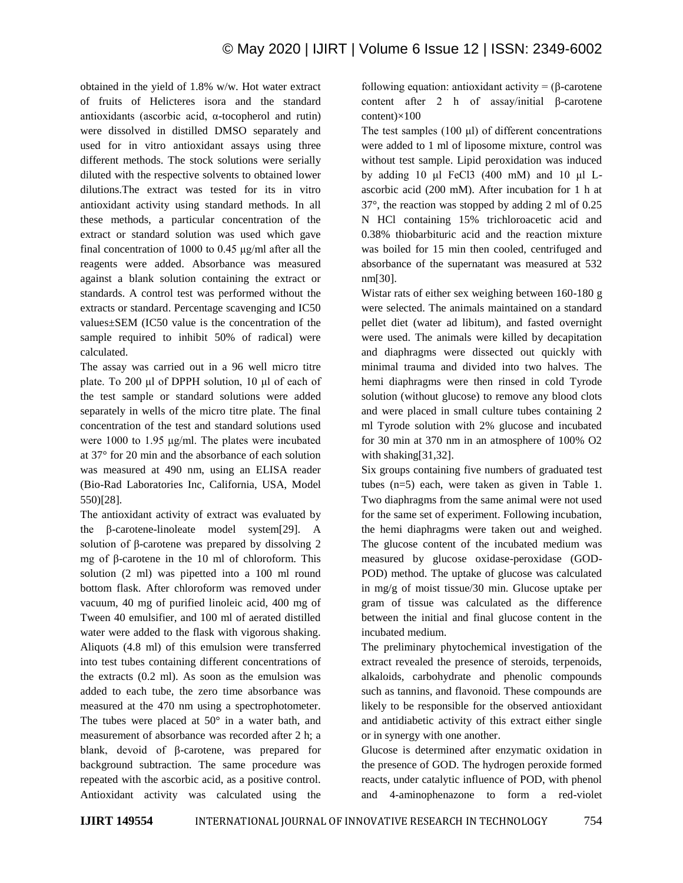obtained in the yield of 1.8% w/w. Hot water extract of fruits of Helicteres isora and the standard antioxidants (ascorbic acid, α-tocopherol and rutin) were dissolved in distilled DMSO separately and used for in vitro antioxidant assays using three different methods. The stock solutions were serially diluted with the respective solvents to obtained lower dilutions.The extract was tested for its in vitro antioxidant activity using standard methods. In all these methods, a particular concentration of the extract or standard solution was used which gave final concentration of 1000 to 0.45 μg/ml after all the reagents were added. Absorbance was measured against a blank solution containing the extract or standards. A control test was performed without the extracts or standard. Percentage scavenging and IC50 values±SEM (IC50 value is the concentration of the sample required to inhibit 50% of radical) were calculated.

The assay was carried out in a 96 well micro titre plate. To 200 μl of DPPH solution, 10 μl of each of the test sample or standard solutions were added separately in wells of the micro titre plate. The final concentration of the test and standard solutions used were 1000 to 1.95 μg/ml. The plates were incubated at 37° for 20 min and the absorbance of each solution was measured at 490 nm, using an ELISA reader (Bio-Rad Laboratories Inc, California, USA, Model 550)[28].

The antioxidant activity of extract was evaluated by the β-carotene-linoleate model system[29]. A solution of β-carotene was prepared by dissolving 2 mg of β-carotene in the 10 ml of chloroform. This solution (2 ml) was pipetted into a 100 ml round bottom flask. After chloroform was removed under vacuum, 40 mg of purified linoleic acid, 400 mg of Tween 40 emulsifier, and 100 ml of aerated distilled water were added to the flask with vigorous shaking. Aliquots (4.8 ml) of this emulsion were transferred into test tubes containing different concentrations of the extracts (0.2 ml). As soon as the emulsion was added to each tube, the zero time absorbance was measured at the 470 nm using a spectrophotometer. The tubes were placed at 50° in a water bath, and measurement of absorbance was recorded after 2 h; a blank, devoid of β-carotene, was prepared for background subtraction. The same procedure was repeated with the ascorbic acid, as a positive control. Antioxidant activity was calculated using the following equation: antioxidant activity = (β-carotene content after 2 h of assay/initial β-carotene content)×100

The test samples (100 μl) of different concentrations were added to 1 ml of liposome mixture, control was without test sample. Lipid peroxidation was induced by adding 10 μl FeCl3 (400 mM) and 10 μl Lascorbic acid (200 mM). After incubation for 1 h at 37°, the reaction was stopped by adding 2 ml of 0.25 N HCl containing 15% trichloroacetic acid and 0.38% thiobarbituric acid and the reaction mixture was boiled for 15 min then cooled, centrifuged and absorbance of the supernatant was measured at 532 nm[30].

Wistar rats of either sex weighing between 160-180 g were selected. The animals maintained on a standard pellet diet (water ad libitum), and fasted overnight were used. The animals were killed by decapitation and diaphragms were dissected out quickly with minimal trauma and divided into two halves. The hemi diaphragms were then rinsed in cold Tyrode solution (without glucose) to remove any blood clots and were placed in small culture tubes containing 2 ml Tyrode solution with 2% glucose and incubated for 30 min at 370 nm in an atmosphere of 100% O2 with shaking[31,32].

Six groups containing five numbers of graduated test tubes (n=5) each, were taken as given in Table 1. Two diaphragms from the same animal were not used for the same set of experiment. Following incubation, the hemi diaphragms were taken out and weighed. The glucose content of the incubated medium was measured by glucose oxidase-peroxidase (GOD-POD) method. The uptake of glucose was calculated in mg/g of moist tissue/30 min. Glucose uptake per gram of tissue was calculated as the difference between the initial and final glucose content in the incubated medium.

The preliminary phytochemical investigation of the extract revealed the presence of steroids, terpenoids, alkaloids, carbohydrate and phenolic compounds such as tannins, and flavonoid. These compounds are likely to be responsible for the observed antioxidant and antidiabetic activity of this extract either single or in synergy with one another.

Glucose is determined after enzymatic oxidation in the presence of GOD. The hydrogen peroxide formed reacts, under catalytic influence of POD, with phenol and 4-aminophenazone to form a red-violet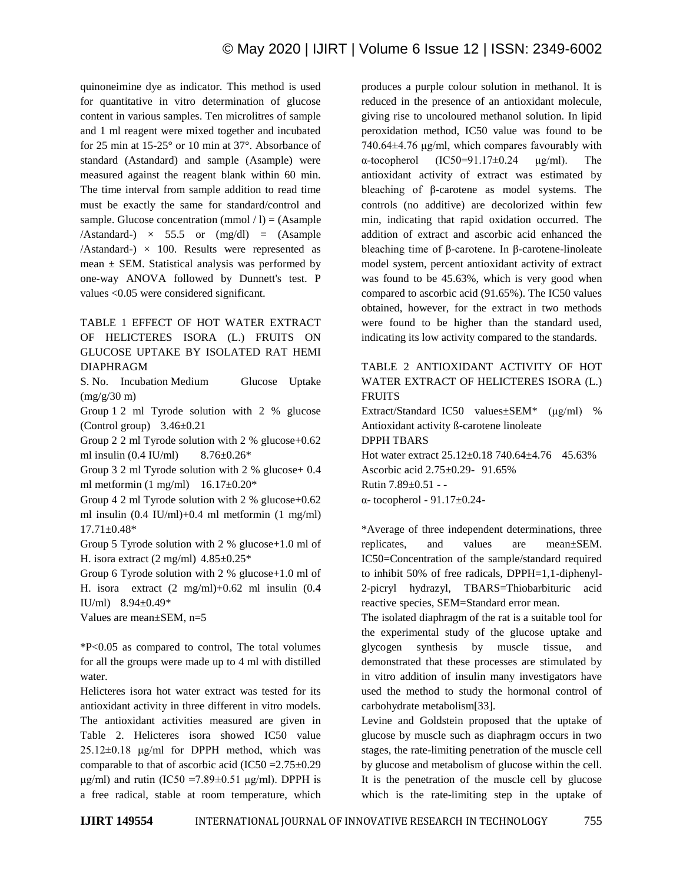quinoneimine dye as indicator. This method is used for quantitative in vitro determination of glucose content in various samples. Ten microlitres of sample and 1 ml reagent were mixed together and incubated for 25 min at 15-25° or 10 min at 37°. Absorbance of standard (Astandard) and sample (Asample) were measured against the reagent blank within 60 min. The time interval from sample addition to read time must be exactly the same for standard/control and sample. Glucose concentration (mmol  $/ 1$ ) = (Asample  $/Astandard-) \times 55.5$  or  $(mg/dl) = (Asample)$  $/Astandard-$ )  $\times$  100. Results were represented as mean  $\pm$  SEM. Statistical analysis was performed by one-way ANOVA followed by Dunnett's test. P values <0.05 were considered significant.

## TABLE 1 EFFECT OF HOT WATER EXTRACT OF HELICTERES ISORA (L.) FRUITS ON GLUCOSE UPTAKE BY ISOLATED RAT HEMI DIAPHRAGM

S. No. Incubation Medium Glucose Uptake  $(mg/g/30 m)$ 

Group 1 2 ml Tyrode solution with 2 % glucose (Control group)  $3.46\pm0.21$ 

Group 2 2 ml Tyrode solution with 2 % glucose+0.62 ml insulin (0.4 IU/ml) 8.76±0.26\*

Group 3 2 ml Tyrode solution with 2 % glucose+ 0.4 ml metformin (1 mg/ml)  $16.17\pm0.20*$ 

Group 4 2 ml Tyrode solution with 2 % glucose+0.62 ml insulin (0.4 IU/ml)+0.4 ml metformin (1 mg/ml) 17.71±0.48\*

Group 5 Tyrode solution with 2 % glucose+1.0 ml of H. isora extract (2 mg/ml)  $4.85 \pm 0.25$ \*

Group 6 Tyrode solution with 2 % glucose+1.0 ml of H. isora extract  $(2 \text{ mg/ml})+0.62 \text{ ml}$  insulin  $(0.4$ IU/ml) 8.94±0.49\*

Values are mean±SEM, n=5

\*P<0.05 as compared to control, The total volumes for all the groups were made up to 4 ml with distilled water.

Helicteres isora hot water extract was tested for its antioxidant activity in three different in vitro models. The antioxidant activities measured are given in Table 2. Helicteres isora showed IC50 value  $25.12\pm0.18$  μg/ml for DPPH method, which was comparable to that of ascorbic acid (IC50 =  $2.75\pm0.29$ ) μg/ml) and rutin (IC50 = 7.89 $\pm$ 0.51 μg/ml). DPPH is a free radical, stable at room temperature, which produces a purple colour solution in methanol. It is reduced in the presence of an antioxidant molecule, giving rise to uncoloured methanol solution. In lipid peroxidation method, IC50 value was found to be  $740.64\pm4.76$  μg/ml, which compares favourably with α-tocopherol (IC50=91.17±0.24 μg/ml). The antioxidant activity of extract was estimated by bleaching of β-carotene as model systems. The controls (no additive) are decolorized within few min, indicating that rapid oxidation occurred. The addition of extract and ascorbic acid enhanced the bleaching time of β-carotene. In β-carotene-linoleate model system, percent antioxidant activity of extract was found to be 45.63%, which is very good when compared to ascorbic acid (91.65%). The IC50 values obtained, however, for the extract in two methods were found to be higher than the standard used, indicating its low activity compared to the standards.

### TABLE 2 ANTIOXIDANT ACTIVITY OF HOT WATER EXTRACT OF HELICTERES ISORA (L.) FRUITS

Extract/Standard IC50 values±SEM\* (μg/ml) % Antioxidant activity ß-carotene linoleate DPPH TBARS Hot water extract 25.12±0.18 740.64±4.76 45.63% Ascorbic acid 2.75±0.29- 91.65% Rutin 7.89±0.51 - α- tocopherol - 91.17±0.24-

\*Average of three independent determinations, three replicates, and values are mean±SEM. IC50=Concentration of the sample/standard required to inhibit 50% of free radicals, DPPH=1,1-diphenyl-2-picryl hydrazyl, TBARS=Thiobarbituric acid reactive species, SEM=Standard error mean.

The isolated diaphragm of the rat is a suitable tool for the experimental study of the glucose uptake and glycogen synthesis by muscle tissue, and demonstrated that these processes are stimulated by in vitro addition of insulin many investigators have used the method to study the hormonal control of carbohydrate metabolism[33].

Levine and Goldstein proposed that the uptake of glucose by muscle such as diaphragm occurs in two stages, the rate-limiting penetration of the muscle cell by glucose and metabolism of glucose within the cell. It is the penetration of the muscle cell by glucose which is the rate-limiting step in the uptake of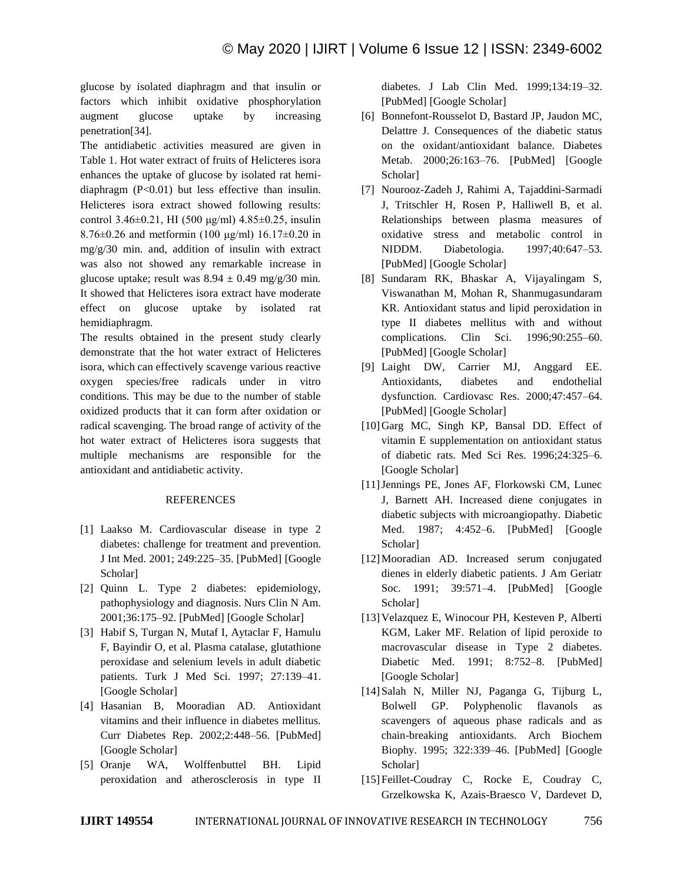glucose by isolated diaphragm and that insulin or factors which inhibit oxidative phosphorylation augment glucose uptake by increasing penetration[34].

The antidiabetic activities measured are given in Table 1. Hot water extract of fruits of Helicteres isora enhances the uptake of glucose by isolated rat hemidiaphragm (P<0.01) but less effective than insulin. Helicteres isora extract showed following results: control 3.46±0.21, HI (500 μg/ml) 4.85±0.25, insulin 8.76 $\pm$ 0.26 and metformin (100 μg/ml) 16.17 $\pm$ 0.20 in mg/g/30 min. and, addition of insulin with extract was also not showed any remarkable increase in glucose uptake; result was  $8.94 \pm 0.49$  mg/g/30 min. It showed that Helicteres isora extract have moderate effect on glucose uptake by isolated rat hemidiaphragm.

The results obtained in the present study clearly demonstrate that the hot water extract of Helicteres isora, which can effectively scavenge various reactive oxygen species/free radicals under in vitro conditions. This may be due to the number of stable oxidized products that it can form after oxidation or radical scavenging. The broad range of activity of the hot water extract of Helicteres isora suggests that multiple mechanisms are responsible for the antioxidant and antidiabetic activity.

#### REFERENCES

- [1] Laakso M. Cardiovascular disease in type 2 diabetes: challenge for treatment and prevention. J Int Med. 2001; 249:225–35. [PubMed] [Google Scholar]
- [2] Quinn L. Type 2 diabetes: epidemiology, pathophysiology and diagnosis. Nurs Clin N Am. 2001;36:175–92. [PubMed] [Google Scholar]
- [3] Habif S, Turgan N, Mutaf I, Aytaclar F, Hamulu F, Bayindir O, et al. Plasma catalase, glutathione peroxidase and selenium levels in adult diabetic patients. Turk J Med Sci. 1997; 27:139–41. [Google Scholar]
- [4] Hasanian B, Mooradian AD. Antioxidant vitamins and their influence in diabetes mellitus. Curr Diabetes Rep. 2002;2:448–56. [PubMed] [Google Scholar]
- [5] Oranje WA, Wolffenbuttel BH. Lipid peroxidation and atherosclerosis in type II

diabetes. J Lab Clin Med. 1999;134:19–32. [PubMed] [Google Scholar]

- [6] Bonnefont-Rousselot D, Bastard JP, Jaudon MC, Delattre J. Consequences of the diabetic status on the oxidant/antioxidant balance. Diabetes Metab. 2000;26:163–76. [PubMed] [Google Scholar]
- [7] Nourooz-Zadeh J, Rahimi A, Tajaddini-Sarmadi J, Tritschler H, Rosen P, Halliwell B, et al. Relationships between plasma measures of oxidative stress and metabolic control in NIDDM. Diabetologia. 1997;40:647–53. [PubMed] [Google Scholar]
- [8] Sundaram RK, Bhaskar A, Vijayalingam S, Viswanathan M, Mohan R, Shanmugasundaram KR. Antioxidant status and lipid peroxidation in type II diabetes mellitus with and without complications. Clin Sci. 1996;90:255–60. [PubMed] [Google Scholar]
- [9] Laight DW, Carrier MJ, Anggard EE. Antioxidants, diabetes and endothelial dysfunction. Cardiovasc Res. 2000;47:457–64. [PubMed] [Google Scholar]
- [10]Garg MC, Singh KP, Bansal DD. Effect of vitamin E supplementation on antioxidant status of diabetic rats. Med Sci Res. 1996;24:325–6. [Google Scholar]
- [11]Jennings PE, Jones AF, Florkowski CM, Lunec J, Barnett AH. Increased diene conjugates in diabetic subjects with microangiopathy. Diabetic Med. 1987; 4:452–6. [PubMed] [Google Scholar]
- [12]Mooradian AD. Increased serum conjugated dienes in elderly diabetic patients. J Am Geriatr Soc. 1991; 39:571–4. [PubMed] [Google Scholar]
- [13]Velazquez E, Winocour PH, Kesteven P, Alberti KGM, Laker MF. Relation of lipid peroxide to macrovascular disease in Type 2 diabetes. Diabetic Med. 1991; 8:752–8. [PubMed] [Google Scholar]
- [14]Salah N, Miller NJ, Paganga G, Tijburg L, Bolwell GP. Polyphenolic flavanols as scavengers of aqueous phase radicals and as chain-breaking antioxidants. Arch Biochem Biophy. 1995; 322:339–46. [PubMed] [Google Scholar]
- [15] Feillet-Coudray C, Rocke E, Coudray C, Grzelkowska K, Azais-Braesco V, Dardevet D,